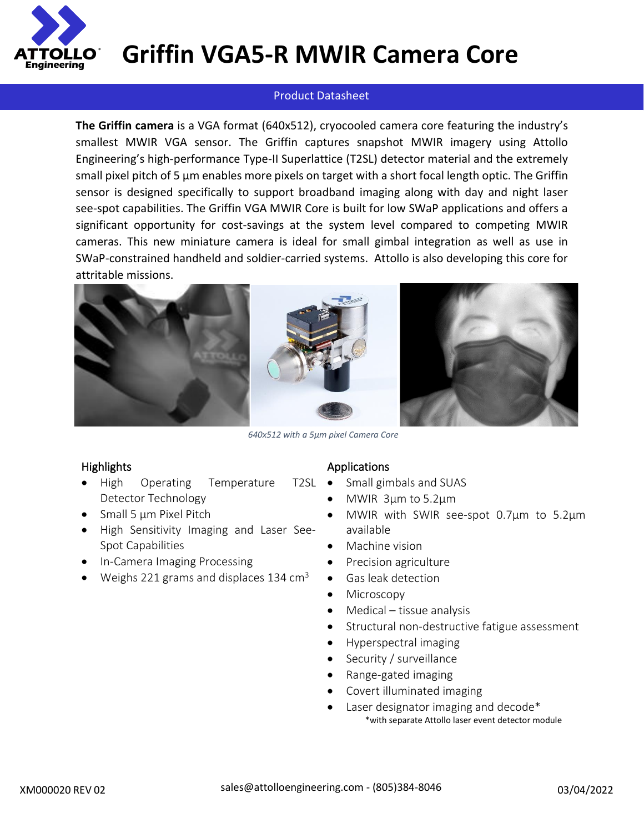

### **Griffin VGA5-R MWIR Camera Core**

#### Product Datasheet

**The Griffin camera** is a VGA format (640x512), cryocooled camera core featuring the industry's smallest MWIR VGA sensor. The Griffin captures snapshot MWIR imagery using Attollo Engineering's high-performance Type-II Superlattice (T2SL) detector material and the extremely small pixel pitch of 5 µm enables more pixels on target with a short focal length optic. The Griffin sensor is designed specifically to support broadband imaging along with day and night laser see-spot capabilities. The Griffin VGA MWIR Core is built for low SWaP applications and offers a significant opportunity for cost-savings at the system level compared to competing MWIR cameras. This new miniature camera is ideal for small gimbal integration as well as use in SWaP-constrained handheld and soldier-carried systems. Attollo is also developing this core for attritable missions.



*640x512 with a 5µm pixel Camera Core*

#### **Highlights**

- High Operating Temperature T2SL Detector Technology
- Small 5 µm Pixel Pitch
- High Sensitivity Imaging and Laser See-Spot Capabilities
- In-Camera Imaging Processing
- Weighs 221 grams and displaces 134  $\text{cm}^3$

#### Applications

- Small gimbals and SUAS
- MWIR 3µm to 5.2µm
- MWIR with SWIR see-spot 0.7µm to 5.2µm available
- Machine vision
- Precision agriculture
- Gas leak detection
- Microscopy
- Medical tissue analysis
- Structural non-destructive fatigue assessment
- Hyperspectral imaging
- Security / surveillance
- Range-gated imaging
- Covert illuminated imaging
- Laser designator imaging and decode\* \*with separate Attollo laser event detector module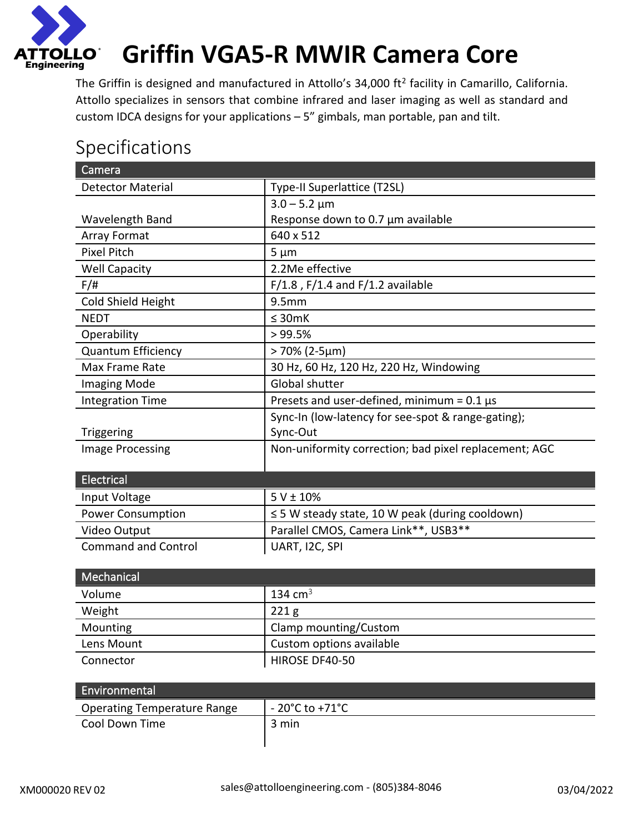

# **Griffin VGA5-R MWIR Camera Core**

The Griffin is designed and manufactured in Attollo's 34,000 ft<sup>2</sup> facility in Camarillo, California. Attollo specializes in sensors that combine infrared and laser imaging as well as standard and custom IDCA designs for your applications – 5" gimbals, man portable, pan and tilt.

### Specifications

| Camera                     |                                                       |
|----------------------------|-------------------------------------------------------|
| <b>Detector Material</b>   | Type-II Superlattice (T2SL)                           |
|                            | $3.0 - 5.2 \mu m$                                     |
| Wavelength Band            | Response down to 0.7 µm available                     |
| <b>Array Format</b>        | 640 x 512                                             |
| <b>Pixel Pitch</b>         | $5 \mu m$                                             |
| <b>Well Capacity</b>       | 2.2Me effective                                       |
| $F/\ddot{t}$               | $F/1.8$ , $F/1.4$ and $F/1.2$ available               |
| Cold Shield Height         | 9.5 <sub>mm</sub>                                     |
| <b>NEDT</b>                | $\leq$ 30mK                                           |
| Operability                | >99.5%                                                |
| <b>Quantum Efficiency</b>  | $>70\%$ (2-5µm)                                       |
| Max Frame Rate             | 30 Hz, 60 Hz, 120 Hz, 220 Hz, Windowing               |
| <b>Imaging Mode</b>        | <b>Global shutter</b>                                 |
| <b>Integration Time</b>    | Presets and user-defined, minimum = $0.1 \,\mu s$     |
|                            | Sync-In (low-latency for see-spot & range-gating);    |
| Triggering                 | Sync-Out                                              |
| <b>Image Processing</b>    | Non-uniformity correction; bad pixel replacement; AGC |
|                            |                                                       |
| Electrical                 |                                                       |
| Input Voltage              | $5 V \pm 10%$                                         |
| <b>Power Consumption</b>   | $\leq$ 5 W steady state, 10 W peak (during cooldown)  |
| Video Output               | Parallel CMOS, Camera Link**, USB3**                  |
| <b>Command and Control</b> | UART, I2C, SPI                                        |

| Mechanical <sup>1</sup> |                          |
|-------------------------|--------------------------|
| Volume                  | 134 cm <sup>3</sup>      |
| Weight                  | 221 <sub>g</sub>         |
| Mounting                | Clamp mounting/Custom    |
| Lens Mount              | Custom options available |
| Connector               | HIROSE DF40-50           |

| Environmental                      |                          |
|------------------------------------|--------------------------|
| <b>Operating Temperature Range</b> | $-20^{\circ}$ C to +71°C |
| Cool Down Time                     | 3 min                    |